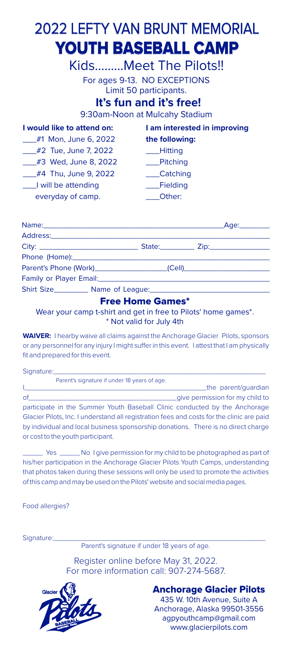## 2022 LEFTY VAN BRUNT MEMORIAL **YOUTH BASEBALL CAMP**

Kids.........Meet The Pilots!! For ages 9-13. NO EXCEPTIONS Limit 50 participants.

## **It's fun and it's free!**

9:30am-Noon at Mulcahy Stadium

| I would like to attend on: | I am interested in improving |  |
|----------------------------|------------------------------|--|
| #1 Mon, June 6, 2022       | the following:               |  |
| $\#2$ Tue, June 7, 2022    | Hitting                      |  |
| #3 Wed, June 8, 2022       | <b>Pitching</b>              |  |
| #4 Thu, June 9, 2022       | Catching                     |  |
| I will be attending        | Fielding                     |  |
| everyday of camp.          | Other:                       |  |
|                            |                              |  |

| Family or Player Email: Example 2014 19:30 19:30 19:30 19:30 19:30 19:30 19:30 19:30 19:30 19:30 19:30 19:30 1 |  |  |
|----------------------------------------------------------------------------------------------------------------|--|--|
|                                                                                                                |  |  |
|                                                                                                                |  |  |

#### **Free Home Games\***

Wear your camp t-shirt and get in free to Pilots' home games\*. \* Not valid for July 4th

**WAIVER:** I hearby waive all claims against the Anchorage Glacier Pilots, sponsors or any personnel for any injury I might suffer in this event. I attest that I am physically fit and prepared for this event.

| Signature:                                                                                |
|-------------------------------------------------------------------------------------------|
| Parent's signature if under 18 years of age.                                              |
| the parent/quardian                                                                       |
| _give permission for my child to                                                          |
| participate in the Summer Youth Baseball Clinic conducted by the Anchorage                |
| Glacier Pilots, Inc. I understand all registration fees and costs for the clinic are paid |
| by individual and local business sponsorship donations. There is no direct charge         |
| or cost to the youth participant.                                                         |
|                                                                                           |

\_\_\_\_\_ Yes \_\_\_\_\_No I give permission for my child to be photographed as part of his/her participation in the Anchorage Glacier Pilots Youth Camps, understanding that photos taken during these sessions will only be used to promote the activities of this camp andmay be used on the Pilots' website and socialmedia pages.

Food allergies?

Signature:

Parent's signature if under 18 years of age.

Register online before May 31, 2022. For more information call: 907-274-5687.



**Anchorage Glacier Pilots** 435 W. 10th Avenue, Suite A Anchorage, Alaska 99501-3556 agpyouthcamp@gmail.com www.glacierpilots.com